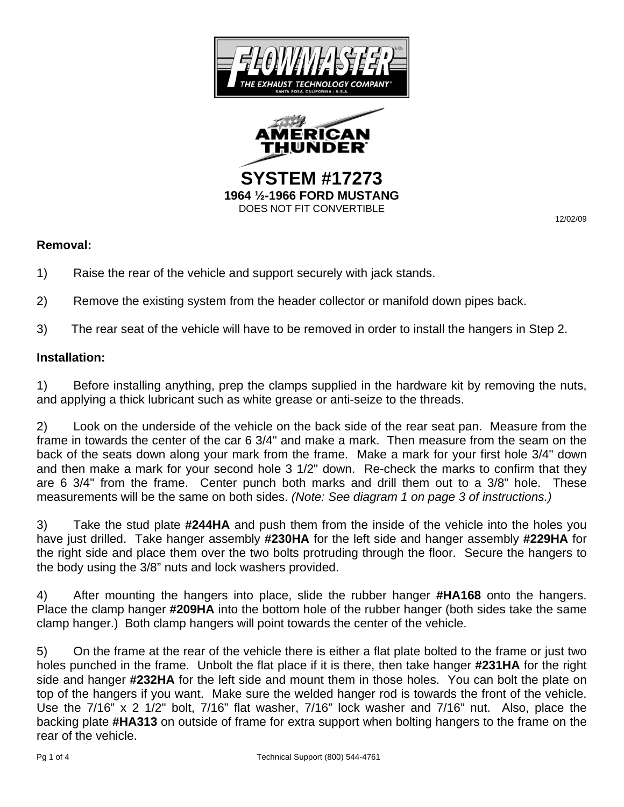

DOES NOT FIT CONVERTIBLE<br>12/02/09

## **Removal:**

- 1) Raise the rear of the vehicle and support securely with jack stands.
- 2) Remove the existing system from the header collector or manifold down pipes back.
- 3) The rear seat of the vehicle will have to be removed in order to install the hangers in Step 2.

## **Installation:**

1) Before installing anything, prep the clamps supplied in the hardware kit by removing the nuts, and applying a thick lubricant such as white grease or anti-seize to the threads.

2) Look on the underside of the vehicle on the back side of the rear seat pan. Measure from the frame in towards the center of the car 6 3/4" and make a mark. Then measure from the seam on the back of the seats down along your mark from the frame. Make a mark for your first hole 3/4" down and then make a mark for your second hole 3 1/2" down. Re-check the marks to confirm that they are 6 3/4" from the frame. Center punch both marks and drill them out to a 3/8" hole. These measurements will be the same on both sides. *(Note: See diagram 1 on page 3 of instructions.)* 

3) Take the stud plate **#244HA** and push them from the inside of the vehicle into the holes you have just drilled. Take hanger assembly **#230HA** for the left side and hanger assembly **#229HA** for the right side and place them over the two bolts protruding through the floor. Secure the hangers to the body using the 3/8" nuts and lock washers provided.

4) After mounting the hangers into place, slide the rubber hanger **#HA168** onto the hangers. Place the clamp hanger **#209HA** into the bottom hole of the rubber hanger (both sides take the same clamp hanger.) Both clamp hangers will point towards the center of the vehicle.

5) On the frame at the rear of the vehicle there is either a flat plate bolted to the frame or just two holes punched in the frame. Unbolt the flat place if it is there, then take hanger **#231HA** for the right side and hanger **#232HA** for the left side and mount them in those holes. You can bolt the plate on top of the hangers if you want. Make sure the welded hanger rod is towards the front of the vehicle. Use the 7/16" x 2 1/2" bolt, 7/16" flat washer, 7/16" lock washer and 7/16" nut. Also, place the backing plate **#HA313** on outside of frame for extra support when bolting hangers to the frame on the rear of the vehicle.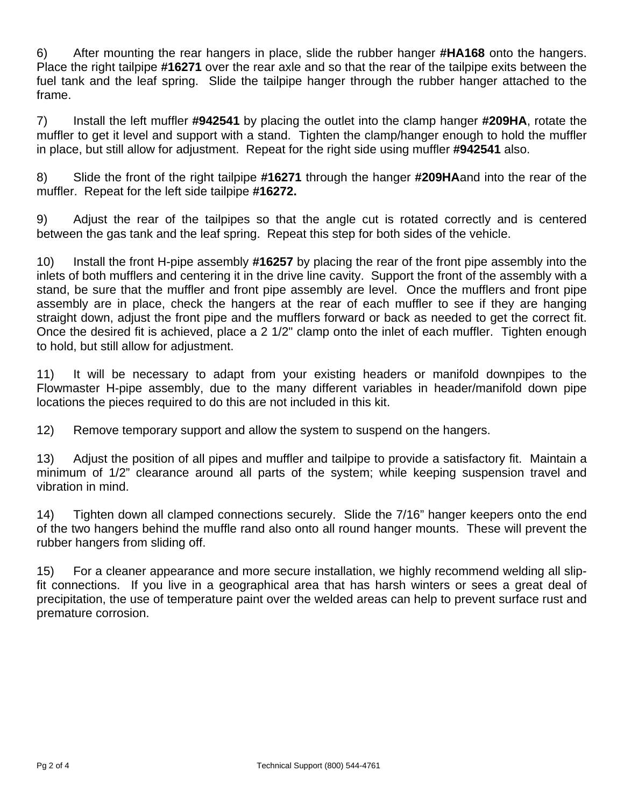6) After mounting the rear hangers in place, slide the rubber hanger **#HA168** onto the hangers. Place the right tailpipe **#16271** over the rear axle and so that the rear of the tailpipe exits between the fuel tank and the leaf spring. Slide the tailpipe hanger through the rubber hanger attached to the frame.

7) Install the left muffler **#942541** by placing the outlet into the clamp hanger **#209HA**, rotate the muffler to get it level and support with a stand. Tighten the clamp/hanger enough to hold the muffler in place, but still allow for adjustment. Repeat for the right side using muffler **#942541** also.

8) Slide the front of the right tailpipe **#16271** through the hanger **#209HA**and into the rear of the muffler. Repeat for the left side tailpipe **#16272.** 

9) Adjust the rear of the tailpipes so that the angle cut is rotated correctly and is centered between the gas tank and the leaf spring. Repeat this step for both sides of the vehicle.

10) Install the front H-pipe assembly **#16257** by placing the rear of the front pipe assembly into the inlets of both mufflers and centering it in the drive line cavity. Support the front of the assembly with a stand, be sure that the muffler and front pipe assembly are level. Once the mufflers and front pipe assembly are in place, check the hangers at the rear of each muffler to see if they are hanging straight down, adjust the front pipe and the mufflers forward or back as needed to get the correct fit. Once the desired fit is achieved, place a 2 1/2" clamp onto the inlet of each muffler. Tighten enough to hold, but still allow for adjustment.

11) It will be necessary to adapt from your existing headers or manifold downpipes to the Flowmaster H-pipe assembly, due to the many different variables in header/manifold down pipe locations the pieces required to do this are not included in this kit.

12) Remove temporary support and allow the system to suspend on the hangers.

13) Adjust the position of all pipes and muffler and tailpipe to provide a satisfactory fit. Maintain a minimum of 1/2" clearance around all parts of the system; while keeping suspension travel and vibration in mind.

14) Tighten down all clamped connections securely. Slide the 7/16" hanger keepers onto the end of the two hangers behind the muffle rand also onto all round hanger mounts. These will prevent the rubber hangers from sliding off.

15) For a cleaner appearance and more secure installation, we highly recommend welding all slipfit connections. If you live in a geographical area that has harsh winters or sees a great deal of precipitation, the use of temperature paint over the welded areas can help to prevent surface rust and premature corrosion.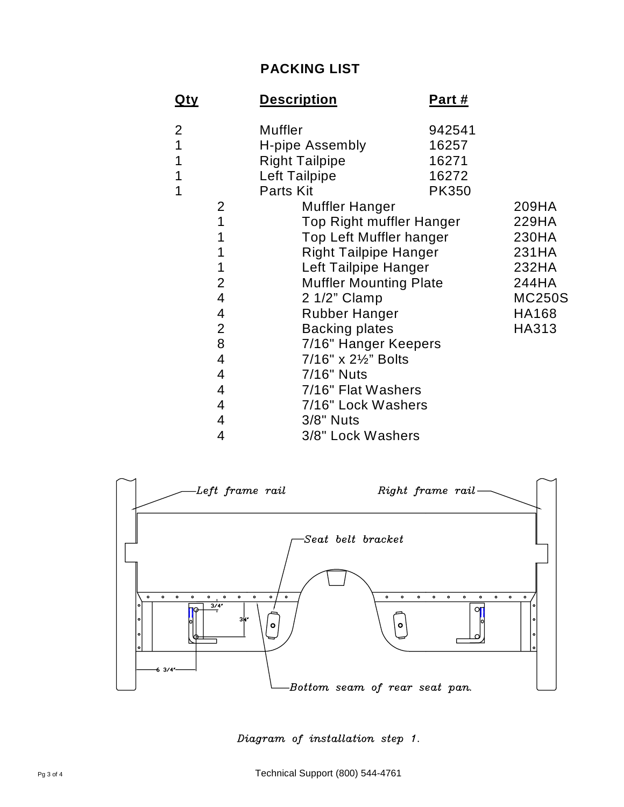## **PACKING LIST**

| <u>Qty</u>              | <b>Description</b>            | <u>Part #</u>           |               |
|-------------------------|-------------------------------|-------------------------|---------------|
| $\overline{2}$          | <b>Muffler</b>                | 942541                  |               |
| 1                       | H-pipe Assembly               | 16257                   |               |
|                         | <b>Right Tailpipe</b>         | 16271                   |               |
| 1                       | Left Tailpipe                 | 16272                   |               |
| 1                       | Parts Kit                     | <b>PK350</b>            |               |
| 2                       | Muffler Hanger                |                         | 209HA         |
| 1                       | Top Right muffler Hanger      |                         | 229HA         |
| 1                       |                               | Top Left Muffler hanger |               |
|                         | <b>Right Tailpipe Hanger</b>  |                         | 231HA         |
|                         | Left Tailpipe Hanger          |                         | 232HA         |
| $\overline{2}$          | <b>Muffler Mounting Plate</b> |                         | 244HA         |
| 4                       | 2 1/2" Clamp                  |                         | <b>MC250S</b> |
| 4                       | <b>Rubber Hanger</b>          |                         | <b>HA168</b>  |
| $\overline{2}$          | <b>Backing plates</b>         |                         | HA313         |
| 8                       | 7/16" Hanger Keepers          |                         |               |
| $\overline{\mathbf{4}}$ | 7/16" x 21/2" Bolts           |                         |               |
| $\overline{4}$          | 7/16" Nuts                    |                         |               |
| 4                       | 7/16" Flat Washers            |                         |               |
| 4                       | 7/16" Lock Washers            |                         |               |
| 4                       | 3/8" Nuts                     |                         |               |
| 4                       | 3/8" Lock Washers             |                         |               |



Diagram of installation step 1.